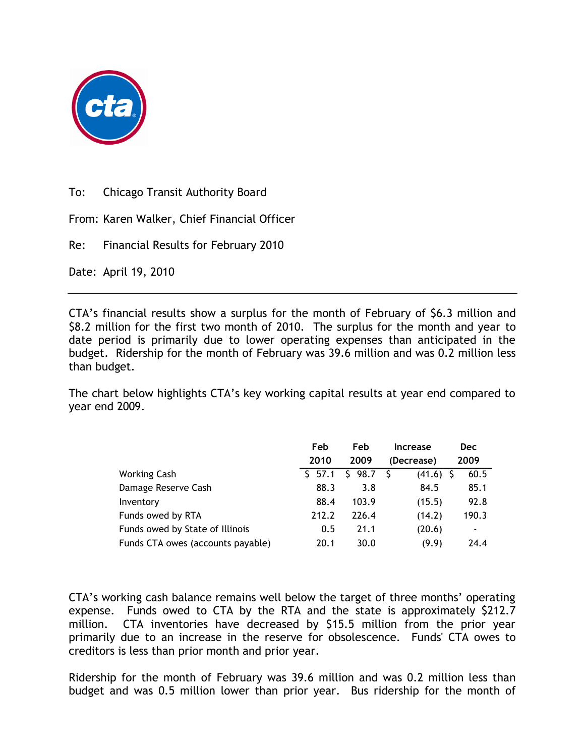

To: Chicago Transit Authority Board

From: Karen Walker, Chief Financial Officer

Re: Financial Results for February 2010

Date: April 19, 2010

CTA's financial results show a surplus for the month of February of \$6.3 million and \$8.2 million for the first two month of 2010. The surplus for the month and year to date period is primarily due to lower operating expenses than anticipated in the budget. Ridership for the month of February was 39.6 million and was 0.2 million less than budget.

The chart below highlights CTA's key working capital results at year end compared to year end 2009.

|                                   | Feb   | Feb    | Increase    | Dec   |
|-----------------------------------|-------|--------|-------------|-------|
|                                   | 2010  | 2009   | (Decrease)  | 2009  |
| Working Cash                      | 557.1 | \$98.7 | $(41.6)$ \$ | 60.5  |
| Damage Reserve Cash               | 88.3  | 3.8    | 84.5        | 85.1  |
| Inventory                         | 88.4  | 103.9  | (15.5)      | 92.8  |
| Funds owed by RTA                 | 212.2 | 226.4  | (14.2)      | 190.3 |
| Funds owed by State of Illinois   | 0.5   | 21.1   | (20.6)      | ٠     |
| Funds CTA owes (accounts payable) | 20.1  | 30.0   | (9.9)       | 24.4  |

CTA's working cash balance remains well below the target of three months' operating expense. Funds owed to CTA by the RTA and the state is approximately \$212.7 million. CTA inventories have decreased by \$15.5 million from the prior year primarily due to an increase in the reserve for obsolescence. Funds' CTA owes to creditors is less than prior month and prior year.

Ridership for the month of February was 39.6 million and was 0.2 million less than budget and was 0.5 million lower than prior year. Bus ridership for the month of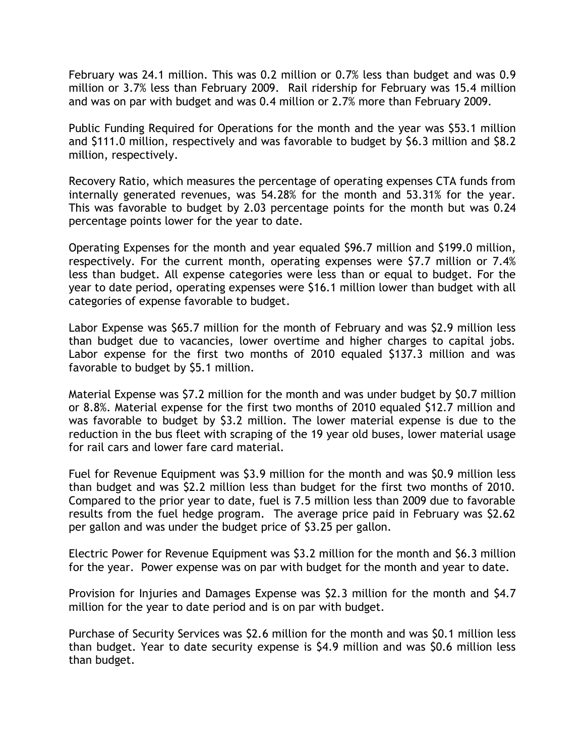February was 24.1 million. This was 0.2 million or 0.7% less than budget and was 0.9 million or 3.7% less than February 2009. Rail ridership for February was 15.4 million and was on par with budget and was 0.4 million or 2.7% more than February 2009.

Public Funding Required for Operations for the month and the year was \$53.1 million and \$111.0 million, respectively and was favorable to budget by \$6.3 million and \$8.2 million, respectively.

Recovery Ratio, which measures the percentage of operating expenses CTA funds from internally generated revenues, was 54.28% for the month and 53.31% for the year. This was favorable to budget by 2.03 percentage points for the month but was 0.24 percentage points lower for the year to date.

Operating Expenses for the month and year equaled \$96.7 million and \$199.0 million, respectively. For the current month, operating expenses were \$7.7 million or 7.4% less than budget. All expense categories were less than or equal to budget. For the year to date period, operating expenses were \$16.1 million lower than budget with all categories of expense favorable to budget.

Labor Expense was \$65.7 million for the month of February and was \$2.9 million less than budget due to vacancies, lower overtime and higher charges to capital jobs. Labor expense for the first two months of 2010 equaled \$137.3 million and was favorable to budget by \$5.1 million.

Material Expense was \$7.2 million for the month and was under budget by \$0.7 million or 8.8%. Material expense for the first two months of 2010 equaled \$12.7 million and was favorable to budget by \$3.2 million. The lower material expense is due to the reduction in the bus fleet with scraping of the 19 year old buses, lower material usage for rail cars and lower fare card material.

Fuel for Revenue Equipment was \$3.9 million for the month and was \$0.9 million less than budget and was \$2.2 million less than budget for the first two months of 2010. Compared to the prior year to date, fuel is 7.5 million less than 2009 due to favorable results from the fuel hedge program. The average price paid in February was \$2.62 per gallon and was under the budget price of \$3.25 per gallon.

Electric Power for Revenue Equipment was \$3.2 million for the month and \$6.3 million for the year. Power expense was on par with budget for the month and year to date.

Provision for Injuries and Damages Expense was \$2.3 million for the month and \$4.7 million for the year to date period and is on par with budget.

Purchase of Security Services was \$2.6 million for the month and was \$0.1 million less than budget. Year to date security expense is \$4.9 million and was \$0.6 million less than budget.